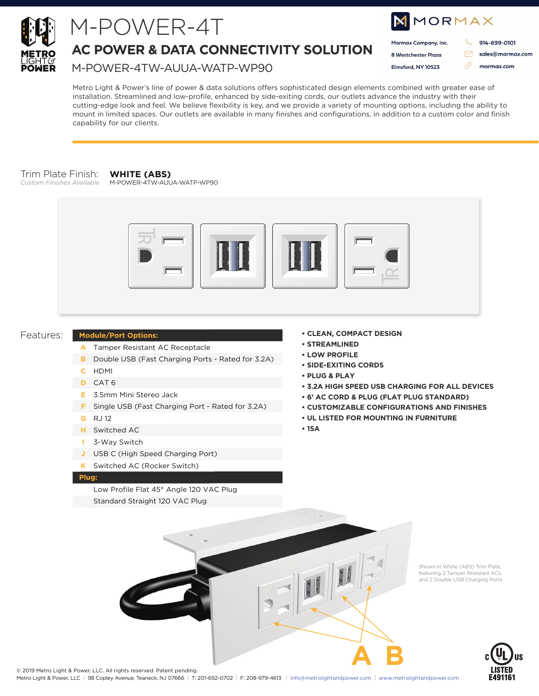

## M-POWER-4T

## **AC POWER & DATA CONNECTIVITY SOLUTION**

M-POWER-4TW-AUUA-WATP-WP90

| MMORMAX              |  |                  |
|----------------------|--|------------------|
| Mormax Company, Inc. |  | 914-699-0101     |
| 8 Westchester Plaza  |  | sales@mormax.com |
| Elmsford, NY 10523   |  | mormax.com       |
|                      |  |                  |

Metro Light & Power's line of power & data solutions offers sophisticated design elements combined with greater ease of installation. Streamlined and low-profile, enhanced by side-exiting cords, our outlets advance the industry with their cutting-edge look and feel. We believe flexibility is key, and we provide a variety of mounting options, including the ability to mount in limited spaces. Our outlets are available in many finishes and configurations, in addition to a custom color and finish capability for our clients.

### Trim Plate Finish:

*Custom Finishes Available*

#### **WHITE (ABS)** M-POWER-4TW-AUUA-WATP-WP90



#### Features:

- **Module/Port Options:**
- A Tamper Resistant AC Receptacle
- **B** Double USB (Fast Charging Ports Rated for 3.2A)
- HDMI **C**
- CAT 6 **D**
- 3.5mm Mini Stereo Jack **E**
- **F** Single USB (Fast Charging Port Rated for 3.2A)
- RJ 12 **G**
- Switched AC **H**
- 3-Way Switch **I**
- USB C (High Speed Charging Port) **J**
- Switched AC (Rocker Switch) **K**

#### **Plug:**

Low Profile Flat 45° Angle 120 VAC Plug

Standard Straight 120 VAC Plug

- **CLEAN, COMPACT DESIGN**
- **STREAMLINED**
- **LOW PROFILE**
- **SIDE-EXITING CORDS**
- **PLUG & PLAY**
- **3.2A HIGH SPEED USB CHARGING FOR ALL DEVICES**
- **6' AC CORD & PLUG (FLAT PLUG STANDARD)**
- **CUSTOMIZABLE CONFIGURATIONS AND FINISHES**
- **UL LISTED FOR MOUNTING IN FURNITURE**
- **15A**



Shown in White (ABS) Trim Plate, featuring 2 Tamper Resistant ACs, and 2 Double USB Charging Ports.